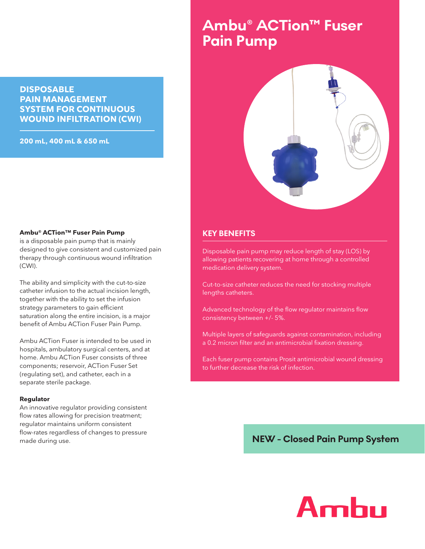#### **DISPOSABLE PAIN MANAGEMENT SYSTEM FOR CONTINUOUS WOUND INFILTRATION (CWI)**

**200 mL, 400 mL & 650 mL**

# **Ambu® ACTion™ Fuser Pain Pump**



#### **KEY BENEFITS**

Disposable pain pump may reduce length of stay (LOS) by allowing patients recovering at home through a controlled medication delivery system.

Cut-to-size catheter reduces the need for stocking multiple lengths catheters.

Advanced technology of the flow regulator maintains flow consistency between +/- 5%.

Multiple layers of safeguards against contamination, including a 0.2 micron filter and an antimicrobial fixation dressing.

Each fuser pump contains Prosit antimicrobial wound dressing to further decrease the risk of infection.

### **NEW - Closed Pain Pump System**

#### **Ambu® ACTion™ Fuser Pain Pump**

is a disposable pain pump that is mainly designed to give consistent and customized pain therapy through continuous wound infiltration (CWI).

The ability and simplicity with the cut-to-size catheter infusion to the actual incision length, together with the ability to set the infusion strategy parameters to gain efficient saturation along the entire incision, is a major benefit of Ambu ACTion Fuser Pain Pump.

Ambu ACTion Fuser is intended to be used in hospitals, ambulatory surgical centers, and at home. Ambu ACTion Fuser consists of three components; reservoir, ACTion Fuser Set (regulating set), and catheter, each in a separate sterile package.

#### **Regulator**

An innovative regulator providing consistent flow rates allowing for precision treatment; regulator maintains uniform consistent flow-rates regardless of changes to pressure made during use.

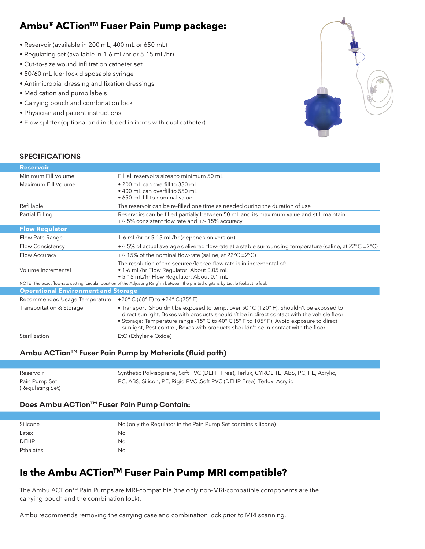# **Ambu® ACTionTM Fuser Pain Pump package:**

- Reservoir (available in 200 mL, 400 mL or 650 mL)
- Regulating set (available in 1-6 mL/hr or 5-15 mL/hr)
- Cut-to-size wound infiltration catheter set
- 50/60 mL luer lock disposable syringe
- Antimicrobial dressing and fixation dressings
- Medication and pump labels
- Carrying pouch and combination lock
- Physician and patient instructions
- Flow splitter (optional and included in items with dual catheter)



#### **SPECIFICATIONS**

| <b>Reservoir</b>                           |                                                                                                                                                                                                                                                                                                                                                                        |
|--------------------------------------------|------------------------------------------------------------------------------------------------------------------------------------------------------------------------------------------------------------------------------------------------------------------------------------------------------------------------------------------------------------------------|
| Minimum Fill Volume                        | Fill all reservoirs sizes to minimum 50 mL                                                                                                                                                                                                                                                                                                                             |
| Maximum Fill Volume                        | • 200 mL can overfill to 330 mL<br>• 400 mL can overfill to 550 mL<br>• 650 mL fill to nominal value                                                                                                                                                                                                                                                                   |
| Refillable                                 | The reservoir can be re-filled one time as needed during the duration of use                                                                                                                                                                                                                                                                                           |
| Partial Filling                            | Reservoirs can be filled partially between 50 mL and its maximum value and still maintain<br>+/- 5% consistent flow rate and +/- 15% accuracy.                                                                                                                                                                                                                         |
| <b>Flow Regulator</b>                      |                                                                                                                                                                                                                                                                                                                                                                        |
| Flow Rate Range                            | 1-6 mL/hr or 5-15 mL/hr (depends on version)                                                                                                                                                                                                                                                                                                                           |
| Flow Consistency                           | +/-5% of actual average delivered flow-rate at a stable surrounding temperature (saline, at $22^{\circ}C \pm 2^{\circ}C$ )                                                                                                                                                                                                                                             |
| Flow Accuracy                              | +/- 15% of the nominal flow-rate (saline, at 22°C ±2°C)                                                                                                                                                                                                                                                                                                                |
| Volume Incremental                         | The resolution of the secured/locked flow rate is in incremental of:<br>. 1-6 mL/hr Flow Regulator: About 0.05 mL<br>. 5-15 mL/hr Flow Regulator: About 0.1 mL                                                                                                                                                                                                         |
|                                            | NOTE: The exact flow-rate setting (circular position of the Adjusting Ring) in between the printed digits is by tactile feel.actile feel.                                                                                                                                                                                                                              |
| <b>Operational Environment and Storage</b> |                                                                                                                                                                                                                                                                                                                                                                        |
| Recommended Usage Temperature              | +20 $^{\circ}$ C (68 $^{\circ}$ F) to +24 $^{\circ}$ C (75 $^{\circ}$ F)                                                                                                                                                                                                                                                                                               |
| Transportation & Storage                   | • Transport: Shouldn't be exposed to temp. over 50° C (120° F), Shouldn't be exposed to<br>direct sunlight, Boxes with products shouldn't be in direct contact with the vehicle floor<br>• Storage: Temperature range -15° C to 40° C (5° F to 105° F), Avoid exposure to direct<br>sunlight, Pest control, Boxes with products shouldn't be in contact with the floor |
| Sterilization                              | EtO (Ethylene Oxide)                                                                                                                                                                                                                                                                                                                                                   |

#### Ambu ACTion™ Fuser Pain Pump by Materials (fluid path)

| Reservoir                         | Synthetic Polyisoprene, Soft PVC (DEHP Free), Terlux, CYROLITE, ABS, PC, PE, Acrylic, |
|-----------------------------------|---------------------------------------------------------------------------------------|
| Pain Pump Set<br>(Regulating Set) | PC, ABS, Silicon, PE, Rigid PVC, Soft PVC (DEHP Free), Terlux, Acrylic                |

#### **Does Ambu ACTion™ Fuser Pain Pump Contain:**

| Silicone    | No (only the Regulator in the Pain Pump Set contains silicone) |
|-------------|----------------------------------------------------------------|
| Latex       | No                                                             |
| <b>DEHP</b> | Nο                                                             |
| Pthalates   | No                                                             |

## **Is the Ambu ACTion<sup>™</sup> Fuser Pain Pump MRI compatible?**

The Ambu ACTion<sup>TM</sup> Pain Pumps are MRI-compatible (the only non-MRI-compatible components are the carrying pouch and the combination lock).

Ambu recommends removing the carrying case and combination lock prior to MRI scanning.